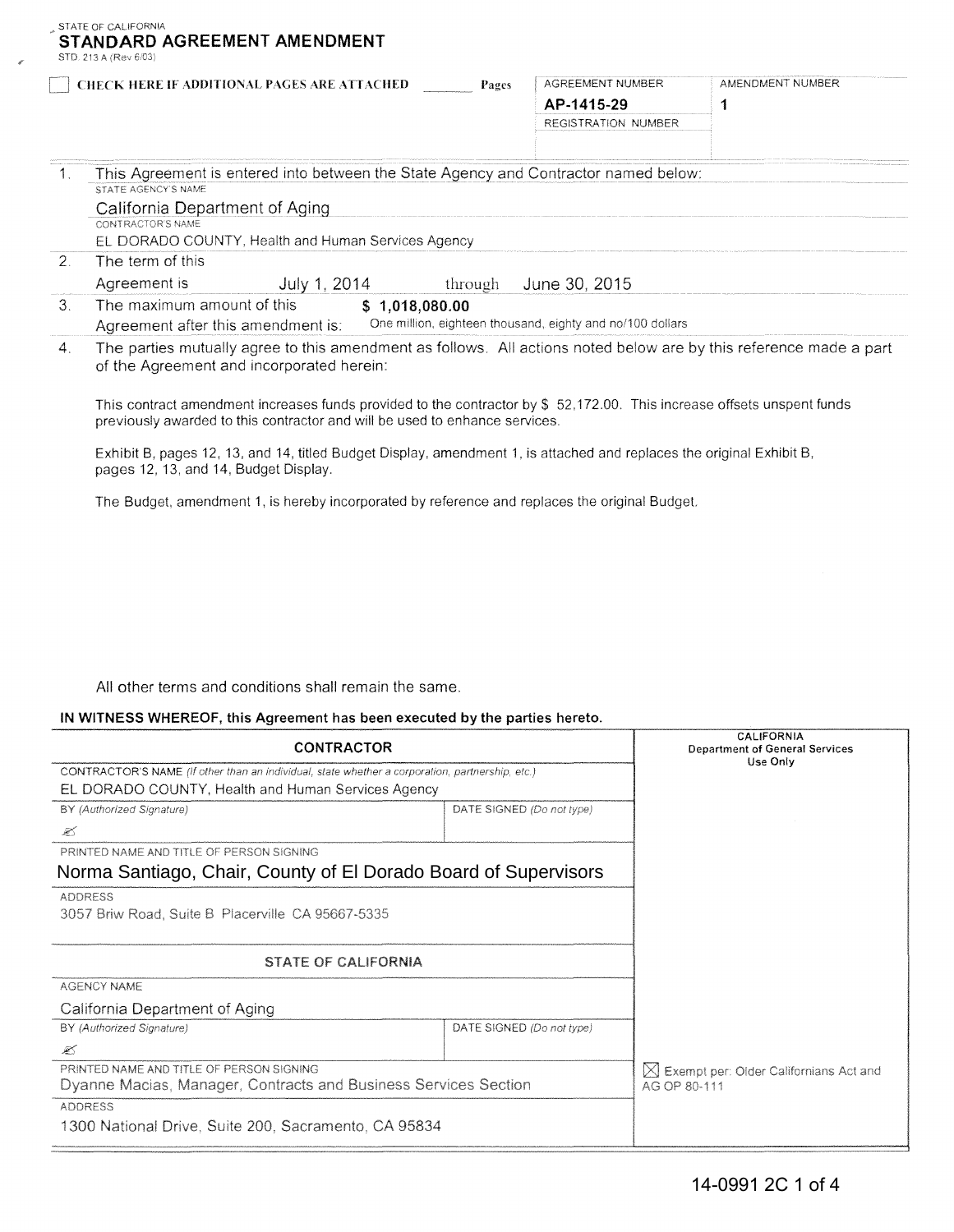|                | <b>CHECK HERE IF ADDITIONAL PAGES ARE ATTACHED</b>                                  |         | Pages | AGREEMENT NUMBER           | AMENDMENT NUMBER<br>1 |  |  |  |  |
|----------------|-------------------------------------------------------------------------------------|---------|-------|----------------------------|-----------------------|--|--|--|--|
|                |                                                                                     |         |       | AP-1415-29                 |                       |  |  |  |  |
|                |                                                                                     |         |       | <b>REGISTRATION NUMBER</b> |                       |  |  |  |  |
|                |                                                                                     |         |       |                            |                       |  |  |  |  |
|                | This Agreement is entered into between the State Agency and Contractor named below: |         |       |                            |                       |  |  |  |  |
| 1 <sub>1</sub> | STATE AGENCY'S NAME                                                                 |         |       |                            |                       |  |  |  |  |
|                | California Department of Aging                                                      |         |       |                            |                       |  |  |  |  |
|                | CONTRACTOR'S NAME                                                                   |         |       |                            |                       |  |  |  |  |
|                | EL DORADO COUNTY, Health and Human Services Agency                                  |         |       |                            |                       |  |  |  |  |
| $\mathcal{P}$  | The term of this                                                                    |         |       |                            |                       |  |  |  |  |
|                | July 1, 2014<br>Agreement is <b>Agreement</b>                                       | through |       | June 30, 2015              |                       |  |  |  |  |
|                | The maximum amount of this<br>\$1,018,080.00                                        |         |       |                            |                       |  |  |  |  |
| 3.             |                                                                                     |         |       |                            |                       |  |  |  |  |

This contract amendment increases funds provided to the contractor by \$ 52,172.00. This increase offsets unspent funds previously awarded to this contractor and will be used to enhance services.

Exhibit B, pages 12, 13, and 14, titled Budget Display, amendment 1, is attached and replaces the original Exhibit B, pages 12, 13, and 14, Budget Display.

The Budget, amendment **1,** is hereby incorporated by reference and replaces the original Budget

### All other terms and conditions shall remain the same.

#### **IN WITNESS WHEREOF, this Agreement has been executed by the parties hereto.**

| <b>CONTRACTOR</b>                                                                               | <b>CALIFORNIA</b><br><b>Department of General Services</b><br>Use Only |              |
|-------------------------------------------------------------------------------------------------|------------------------------------------------------------------------|--------------|
| CONTRACTOR'S NAME (If other than an individual, state whether a corporation, partnership, etc.) |                                                                        |              |
| EL DORADO COUNTY, Health and Human Services Agency                                              |                                                                        |              |
| <b>BY</b> (Authorized Signature)                                                                | DATE SIGNED (Do not type)                                              |              |
| X                                                                                               |                                                                        |              |
| PRINTED NAME AND TITLE OF PERSON SIGNING                                                        |                                                                        |              |
| Norma Santiago, Chair, County of El Dorado Board of Supervisors                                 |                                                                        |              |
| <b>ADDRESS</b>                                                                                  |                                                                        |              |
| 3057 Briw Road, Suite B Placerville CA 95667-5335                                               |                                                                        |              |
|                                                                                                 |                                                                        |              |
| STATE OF CALIFORNIA                                                                             |                                                                        |              |
| <b>AGENCY NAME</b>                                                                              |                                                                        |              |
| California Department of Aging                                                                  |                                                                        |              |
| BY (Authorized Signature)                                                                       | DATE SIGNED (Do not type)                                              |              |
| X                                                                                               |                                                                        |              |
| PRINTED NAME AND TITLE OF PERSON SIGNING.                                                       | $[\times]$ Exempt per: Older Californians Act and                      |              |
| Dyanne Macias, Manager, Contracts and Business Services Section                                 |                                                                        | AG OP 80-111 |
| <b>ADDRESS</b>                                                                                  |                                                                        |              |
| 1300 National Drive, Suite 200, Sacramento, CA 95834                                            |                                                                        |              |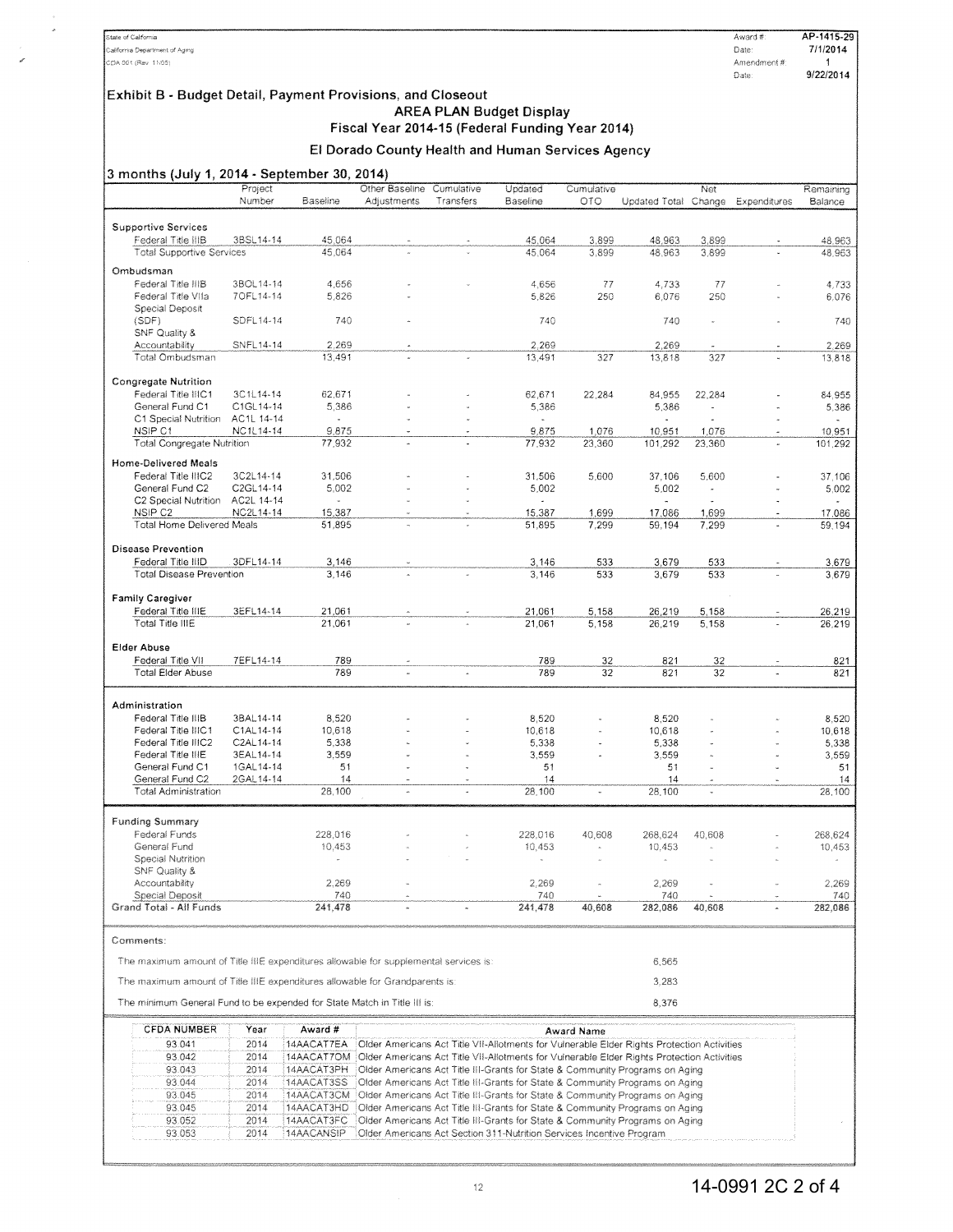### Exhibit B - Budget Detail, Payment Provisions, and Closeout

# AREA PLAN Budget Display

### Fiscal Year 2014-15 (Federal Funding Year 2014) El Dorado County Health and Human Services Agency

### $(1.1/1, 4, 2014)$  September 30, 2014)

| 3 months (July 1, 2014 - September 30, 2014)                                          |                   |            |                               |                          |                                                                                                       |                   |                                   |           |                      |
|---------------------------------------------------------------------------------------|-------------------|------------|-------------------------------|--------------------------|-------------------------------------------------------------------------------------------------------|-------------------|-----------------------------------|-----------|----------------------|
|                                                                                       | Project<br>Number | Baseline   | Other Baseline<br>Adjustments | Cumulative<br>Transfers  | Updated<br>Baseline                                                                                   | Cumulative<br>ото | Updated Total Change Expenditures | Net       | Remaining<br>Balance |
|                                                                                       |                   |            |                               |                          |                                                                                                       |                   |                                   |           |                      |
| <b>Supportive Services</b>                                                            |                   |            |                               |                          |                                                                                                       |                   |                                   |           |                      |
| Federal Title IIIB                                                                    | 3BSL14-14         | 45,064     |                               |                          | 45.064                                                                                                | 3,899             | 48.963                            | 3,899     | 48,963               |
| <b>Total Supportive Services</b>                                                      |                   | 45.064     |                               |                          | 45,064                                                                                                | 3,899             | 48,963                            | 3,899     | 48.963               |
|                                                                                       |                   |            |                               |                          |                                                                                                       |                   |                                   |           |                      |
| Ombudsman<br>Federal Title IIIB                                                       | 3BOL14-14         | 4.656      |                               |                          | 4,656                                                                                                 | 77                | 4.733                             |           |                      |
| Federal Title VIIa                                                                    | 70FL14-14         | 5,826      |                               |                          | 5,826                                                                                                 | 250               | 6.076                             | 77<br>250 | 4,733<br>6,076       |
| Special Deposit                                                                       |                   |            |                               |                          |                                                                                                       |                   |                                   |           |                      |
| (SDF)                                                                                 | SDFL14-14         | 740        |                               |                          | 740                                                                                                   |                   | 740                               |           | 740                  |
| SNF Quality &                                                                         |                   |            |                               |                          |                                                                                                       |                   |                                   |           |                      |
| Accountability                                                                        | <b>SNFL14-14</b>  | 2,269      |                               |                          | 2,269                                                                                                 |                   | 2,269                             |           | 2,269                |
| Total Ombudsman                                                                       |                   | 13.491     |                               |                          | 13,491                                                                                                | 327               | 13,818                            | 327       | 13,818               |
|                                                                                       |                   |            |                               |                          |                                                                                                       |                   |                                   |           |                      |
| <b>Congregate Nutrition</b>                                                           |                   |            |                               |                          |                                                                                                       |                   |                                   |           |                      |
| Federal Title IIIC1                                                                   | 3C1L14-14         | 62.671     |                               |                          | 62.671                                                                                                | 22,284            | 84,955                            | 22,284    | 84,955               |
| General Fund C1                                                                       | C1GL14-14         | 5,386      |                               |                          | 5,386                                                                                                 |                   | 5.386                             |           | 5,386                |
| C1 Special Nutrition                                                                  | AC1L 14-14        | $\omega$   |                               |                          | $\blacksquare$                                                                                        |                   | u.                                |           |                      |
| NSIP C1                                                                               | NC1L14-14         | 9,875      | $\ddot{\phantom{1}}$          |                          | 9.875                                                                                                 | 1,076             | 10,951                            | 1.076     | 10,951               |
| <b>Total Congregate Nutrition</b>                                                     |                   | 77,932     |                               |                          | 77,932                                                                                                | 23,360            | 101,292                           | 23,360    | 101,292              |
| Home-Delivered Meals                                                                  |                   |            |                               |                          |                                                                                                       |                   |                                   |           |                      |
| Federal Title IIIC2                                                                   | 3C2L14-14         | 31,506     |                               |                          | 31,506                                                                                                | 5,600             | 37,106                            | 5,600     | 37,106               |
| General Fund C2                                                                       | C2GL14-14         | 5,002      |                               |                          | 5,002                                                                                                 |                   | 5,002                             | ä,        | 5,002                |
| C2 Special Nutrition                                                                  | AC2L 14-14        | u.         |                               |                          | $\overline{\phantom{a}}$                                                                              |                   | $\sim$                            |           | $\mathbf{r}$         |
| NSIP <sub>C2</sub>                                                                    | NC2L14-14         | 15,387     |                               |                          | 15,387                                                                                                | 1,699             | 17,086                            | 1,699     | 17,086               |
| <b>Total Home Delivered Meals</b>                                                     |                   | 51,895     |                               |                          | 51,895                                                                                                | 7,299             | 59,194                            | 7,299     | 59.194               |
|                                                                                       |                   |            |                               |                          |                                                                                                       |                   |                                   |           |                      |
| <b>Disease Prevention</b>                                                             |                   |            |                               |                          |                                                                                                       |                   |                                   |           |                      |
| Federal Title IIID                                                                    | 3DFL14-14         | 3,146      |                               |                          | 3,146                                                                                                 | 533               | 3,679                             | 533       | 3,679                |
| <b>Total Disease Prevention</b>                                                       |                   | 3.146      |                               |                          | 3.146                                                                                                 | 533               | 3.679                             | 533       | 3,679                |
|                                                                                       |                   |            |                               |                          |                                                                                                       |                   |                                   |           |                      |
| <b>Family Caregiver</b>                                                               |                   |            |                               |                          |                                                                                                       |                   |                                   |           |                      |
| Federal Title IIIE                                                                    | 3EFL14-14         | 21,061     |                               |                          | 21.061                                                                                                | 5,158             | 26,219                            | 5,158     | 26,219               |
| Total Title IIIE                                                                      |                   | 21,061     |                               |                          | 21,061                                                                                                | 5,158             | 26,219                            | 5,158     | 26,219               |
|                                                                                       |                   |            |                               |                          |                                                                                                       |                   |                                   |           |                      |
| Elder Abuse                                                                           |                   |            |                               |                          |                                                                                                       |                   |                                   |           |                      |
| Federal Title VII                                                                     | 7EFL14-14         | 789        |                               |                          | 789                                                                                                   | 32                | 821                               | 32        | 821                  |
| <b>Total Elder Abuse</b>                                                              |                   | 789        | L,                            |                          | 789                                                                                                   | 32                | 821                               | 32        | 821                  |
|                                                                                       |                   |            |                               |                          |                                                                                                       |                   |                                   |           |                      |
| Administration                                                                        |                   |            |                               |                          |                                                                                                       |                   |                                   |           |                      |
| Federal Title IIIB                                                                    | 3BAL14-14         | 8,520      |                               |                          | 8,520                                                                                                 |                   | 8.520                             |           | 8,520                |
| Federal Title IIIC1                                                                   | C1AL14-14         | 10,618     |                               |                          | 10,618                                                                                                |                   | 10,618                            |           | 10,618               |
| Federal Title IIIC2                                                                   | C2AL14-14         | 5,338      |                               |                          | 5,338                                                                                                 |                   | 5,338                             |           | 5,338                |
| Federal Title IIIE                                                                    | 3EAL14-14         | 3,559      |                               |                          | 3,559                                                                                                 |                   | 3.559                             |           | 3,559                |
| General Fund C1                                                                       | 1GAL14-14         | 51         |                               |                          | 51                                                                                                    |                   | 51                                |           | 51                   |
| General Fund C2                                                                       | 2GAL14-14         | 14         |                               |                          | 14                                                                                                    |                   | 14                                |           | 14                   |
| <b>Total Administration</b>                                                           |                   | 28,100     |                               | $\overline{\phantom{a}}$ | 28.100                                                                                                | à.                | 28,100                            | à.        | 28,100               |
|                                                                                       |                   |            |                               |                          |                                                                                                       |                   |                                   |           |                      |
| <b>Funding Summary</b>                                                                |                   |            |                               |                          |                                                                                                       |                   |                                   |           |                      |
| Federal Funds                                                                         |                   | 228,016    |                               |                          |                                                                                                       |                   |                                   |           |                      |
| General Fund                                                                          |                   | 10,453     |                               |                          | 228.016<br>10,453                                                                                     | 40,608<br>à,      | 268,624<br>10.453                 | 40.608    | 268,624<br>10,453    |
| Special Nutrition                                                                     |                   | ×,         |                               |                          | á,                                                                                                    |                   |                                   |           | ä,                   |
| SNF Quality &                                                                         |                   |            |                               |                          |                                                                                                       |                   |                                   |           |                      |
| Accountability                                                                        |                   | 2,269      |                               |                          | 2,269                                                                                                 |                   | 2,269                             |           | 2,269                |
| Special Deposit                                                                       |                   | 740        |                               |                          | 740                                                                                                   |                   | 740                               |           | 740                  |
| Grand Total - All Funds                                                               |                   | 241,478    |                               |                          | 241,478                                                                                               | 40,608            | 282,086                           | 40,608    | 282,086              |
|                                                                                       |                   |            |                               |                          |                                                                                                       |                   |                                   |           |                      |
|                                                                                       |                   |            |                               |                          |                                                                                                       |                   |                                   |           |                      |
| Comments:                                                                             |                   |            |                               |                          |                                                                                                       |                   |                                   |           |                      |
| The maximum amount of Title IIIE expenditures allowable for supplemental services is: |                   |            |                               |                          |                                                                                                       |                   | 6,565                             |           |                      |
|                                                                                       |                   |            |                               |                          |                                                                                                       |                   |                                   |           |                      |
| The maximum amount of Title IIIE expenditures allowable for Grandparents is:          |                   |            |                               |                          |                                                                                                       |                   | 3,283                             |           |                      |
|                                                                                       |                   |            |                               |                          |                                                                                                       |                   |                                   |           |                      |
| The minimum General Fund to be expended for State Match in Title III is:              |                   |            |                               |                          |                                                                                                       |                   | 8,376                             |           |                      |
|                                                                                       |                   |            |                               |                          |                                                                                                       |                   |                                   |           |                      |
| <b>CFDA NUMBER</b>                                                                    | Year              | Award #    |                               |                          |                                                                                                       | Award Name        |                                   |           |                      |
| 93.041                                                                                | 2014              | 14AACAT7EA |                               |                          | Older Americans Act Title VII-Allotments for Vulnerable Elder Rights Protection Activities            |                   |                                   |           |                      |
| 93.042                                                                                | 2014              |            |                               |                          | 14AACAT7OM Older Americans Act Title VII-Allotments for Vulnerable Elder Rights Protection Activities |                   |                                   |           |                      |
| 93.043                                                                                | 2014              | 14AACAT3PH |                               |                          | Older Americans Act Title III-Grants for State & Community Programs on Aging                          |                   |                                   |           |                      |
| 93.044                                                                                | 2014              | 14AACAT3SS |                               |                          | Older Americans Act Title III-Grants for State & Community Programs on Aging                          |                   |                                   |           |                      |
| 93.045                                                                                | 2014              |            |                               |                          | 14AACAT3CM Older Americans Act Title III-Grants for State & Community Programs on Aging               |                   |                                   |           |                      |
| 93.045                                                                                | 2014              | 14AACAT3HD |                               |                          | Older Americans Act Title III-Grants for State & Community Programs on Aging                          |                   |                                   |           |                      |
| 93.052                                                                                | 2014              | 14AACAT3FC |                               |                          | Older Americans Act Title III-Grants for State & Community Programs on Aging                          |                   |                                   |           |                      |
| 93.053                                                                                | 2014              | 14AACANSIP |                               |                          | Older Americans Act Section 311-Nutrition Services Incentive Program                                  |                   |                                   |           |                      |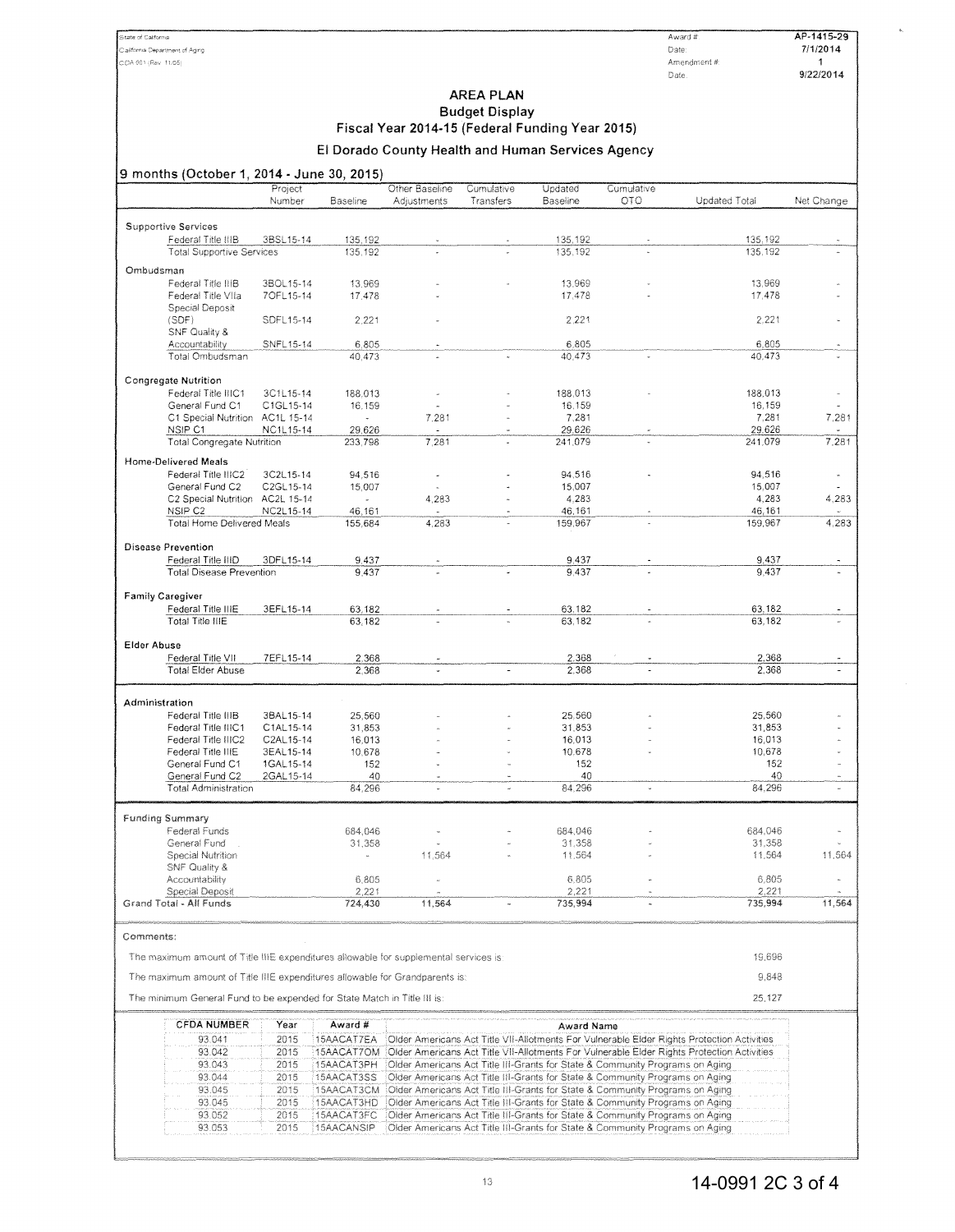## AREA PLAN Budget Display

# Fiscal Year 2014-15 (Federal Funding Year 2015)

### El Dorado County Health and Human Services Agency

#### 9 months (October 1, 2014- June 30, 2015)

|                                                                                      | Project   |                 | Other Baseline | Cumulative | Updated    | Cumulative                                                                   |                                                                                            |            |
|--------------------------------------------------------------------------------------|-----------|-----------------|----------------|------------|------------|------------------------------------------------------------------------------|--------------------------------------------------------------------------------------------|------------|
|                                                                                      | Number    | <b>Baseline</b> | Adjustments    | Transfers  | Baseline   | <b>OTO</b>                                                                   | Updated Total                                                                              | Net Change |
|                                                                                      |           |                 |                |            |            |                                                                              |                                                                                            |            |
| Supportive Services                                                                  |           |                 |                |            |            |                                                                              |                                                                                            |            |
| Federal Title IIIB                                                                   | 3BSL15-14 | 135,192         |                |            | 135,192    |                                                                              | 135,192                                                                                    |            |
| <b>Total Supportive Services</b>                                                     |           | 135,192         |                |            | 135,192    |                                                                              | 135,192                                                                                    |            |
| Ombudsman                                                                            |           |                 |                |            |            |                                                                              |                                                                                            |            |
| Federal Title IIIB                                                                   | 3BOL15-14 | 13,969          |                |            | 13,969     |                                                                              | 13,969                                                                                     |            |
| Federal Title Vila                                                                   | 7OFL15-14 | 17.478          |                |            | 17.478     |                                                                              | 17,478                                                                                     |            |
| Special Deposit                                                                      |           |                 |                |            |            |                                                                              |                                                                                            |            |
| (SDF)                                                                                | SDFL15-14 | 2,221           |                |            | 2,221      |                                                                              | 2,221                                                                                      |            |
| SNF Quality &                                                                        |           |                 |                |            |            |                                                                              |                                                                                            |            |
| Accountability                                                                       | SNFL15-14 | 6,805           |                |            | 6,805      |                                                                              | 6,805                                                                                      |            |
| Total Ombudsman                                                                      |           | 40,473          |                |            | 40.473     |                                                                              | 40,473                                                                                     |            |
|                                                                                      |           |                 |                |            |            |                                                                              |                                                                                            |            |
| <b>Congregate Nutrition</b>                                                          |           |                 |                |            |            |                                                                              |                                                                                            |            |
| Federal Title IIIC1                                                                  | 3C1L15-14 | 188.013         |                |            | 188,013    |                                                                              | 188,013                                                                                    |            |
| General Fund C1                                                                      | C1GL15-14 | 16,159          |                |            | 16,159     |                                                                              | 16,159                                                                                     |            |
| C1 Special Nutrition AC1L 15-14                                                      |           | $\omega$        | 7,281          |            | 7,281      |                                                                              | 7,281                                                                                      | 7,281      |
| NSIP <sub>C1</sub>                                                                   | NC1L15-14 | 29,626          | $\omega$       |            | 29,626     |                                                                              | 29,626                                                                                     | ÷          |
| <b>Total Congregate Nutrition</b>                                                    |           | 233,798         | 7.281          |            | 241,079    |                                                                              | 241,079                                                                                    | 7,281      |
|                                                                                      |           |                 |                |            |            |                                                                              |                                                                                            |            |
| Home-Delivered Meals                                                                 |           |                 |                |            |            |                                                                              |                                                                                            |            |
| Federal Title IIIC2                                                                  | 3C2L15-14 | 94,516          | $\omega$       |            | 94,516     |                                                                              | 94,516                                                                                     |            |
| General Fund C2                                                                      | C2GL15-14 | 15,007          |                |            | 15,007     |                                                                              | 15,007                                                                                     |            |
| C2 Special Nutrition AC2L 15-14                                                      |           | $\omega$ .      | 4,283          |            | 4,283      |                                                                              | 4,283                                                                                      | 4,283      |
| NSIP <sub>C2</sub>                                                                   | NC2L15-14 | 46,161          |                |            | 46,161     |                                                                              | 46,161                                                                                     |            |
| <b>Total Home Delivered Meals</b>                                                    |           | 155,684         | 4,283          |            | 159.967    |                                                                              | 159.967                                                                                    | 4,283      |
|                                                                                      |           |                 |                |            |            |                                                                              |                                                                                            |            |
| <b>Disease Prevention</b>                                                            |           |                 |                |            |            |                                                                              |                                                                                            |            |
| Federal Title IIID                                                                   | 3DFL15-14 | 9,437           |                |            | 9.437      |                                                                              | 9,437                                                                                      |            |
| <b>Total Disease Prevention</b>                                                      |           | 9,437           |                |            | 9,437      |                                                                              | 9,437                                                                                      |            |
|                                                                                      |           |                 |                |            |            |                                                                              |                                                                                            |            |
| <b>Family Caregiver</b>                                                              |           |                 |                |            |            |                                                                              |                                                                                            |            |
| Federal Title IIIE                                                                   | 3EFL15-14 | 63,182          |                |            | 63.182     |                                                                              | 63,182                                                                                     |            |
| Total Title IIIE                                                                     |           | 63,182          |                |            | 63,182     |                                                                              | 63.182                                                                                     |            |
|                                                                                      |           |                 |                |            |            |                                                                              |                                                                                            |            |
| Elder Abuse                                                                          |           |                 |                |            |            |                                                                              |                                                                                            |            |
| Federal Title VII                                                                    | 7EFL15-14 | 2,368           |                |            | 2,368      |                                                                              | 2,368                                                                                      |            |
| Total Elder Abuse                                                                    |           | 2,368           |                |            | 2,368      |                                                                              | 2.368                                                                                      |            |
|                                                                                      |           |                 |                |            |            |                                                                              |                                                                                            |            |
| Administration                                                                       |           |                 |                |            |            |                                                                              |                                                                                            |            |
| Federal Title IIIB                                                                   | 3BAL15-14 | 25,560          |                |            | 25.560     |                                                                              | 25,560                                                                                     |            |
| Federal Title IIIC1                                                                  | C1AL15-14 | 31,853          |                |            | 31,853     |                                                                              | 31,853                                                                                     |            |
| Federal Title IIIC2                                                                  | C2AL15-14 | 16,013          |                |            | 16,013     |                                                                              | 16,013                                                                                     |            |
| Federal Title IIIE                                                                   | 3EAL15-14 | 10,678          |                |            | 10,678     |                                                                              | 10,678                                                                                     |            |
| General Fund C1                                                                      | 1GAL15-14 | 152             |                |            | 152        |                                                                              | 152                                                                                        |            |
| General Fund C2                                                                      | 2GAL15-14 | 40              |                |            | 40         |                                                                              | 40                                                                                         |            |
| <b>Total Administration</b>                                                          |           | 84,296          | $\mathbf{z}$   |            | 84.296     |                                                                              | 84,296                                                                                     |            |
|                                                                                      |           |                 |                |            |            |                                                                              |                                                                                            |            |
|                                                                                      |           |                 |                |            |            |                                                                              |                                                                                            |            |
| <b>Funding Summary</b>                                                               |           |                 |                |            |            |                                                                              |                                                                                            |            |
| Federal Funds                                                                        |           | 684,046         |                |            | 684,046    |                                                                              | 684,046                                                                                    |            |
| General Fund                                                                         |           | 31,358          |                |            | 31,358     |                                                                              | 31,358                                                                                     |            |
| Special Nutrition                                                                    |           | $_{\rm{in}}$    | 11,564         |            | 11,564     |                                                                              | 11.564                                                                                     | 11,564     |
| SNF Quality &                                                                        |           |                 |                |            |            |                                                                              |                                                                                            |            |
| Accountability                                                                       |           | 6,805           |                |            | 6,805      |                                                                              | 6,805                                                                                      |            |
| Special Deposit                                                                      |           | 2,221           |                |            | 2,221      |                                                                              | 2,221                                                                                      | 11.564     |
| Grand Total - All Funds                                                              |           | 724,430         | 11,564         |            | 735,994    |                                                                              | 735,994                                                                                    |            |
|                                                                                      |           |                 |                |            |            |                                                                              |                                                                                            |            |
| Comments:                                                                            |           |                 |                |            |            |                                                                              |                                                                                            |            |
|                                                                                      |           |                 |                |            |            |                                                                              |                                                                                            |            |
| The maximum amount of Title IIIE expenditures allowable for supplemental services is |           |                 |                |            |            |                                                                              | 19,696                                                                                     |            |
|                                                                                      |           |                 |                |            |            |                                                                              | 9,848                                                                                      |            |
| The maximum amount of Title IIIE expenditures allowable for Grandparents is:         |           |                 |                |            |            |                                                                              |                                                                                            |            |
| The minimum General Fund to be expended for State Match in Title III is:             |           |                 |                |            |            |                                                                              | 25,127                                                                                     |            |
|                                                                                      |           |                 |                |            |            |                                                                              |                                                                                            |            |
| <b>CFDA NUMBER</b>                                                                   | Year      | Award #         |                |            |            |                                                                              |                                                                                            |            |
|                                                                                      |           |                 |                |            | Award Name |                                                                              |                                                                                            |            |
| 93.041                                                                               | 2015      | 15AACAT7EA      |                |            |            |                                                                              | Older Americans Act Title VII-Allotments For Vulnerable Elder Rights Protection Activities |            |
| 93.042                                                                               | 2015      | 15AACAT7OM      |                |            |            |                                                                              | Older Americans Act Title VII-Allotments For Vulnerable Elder Rights Protection Activities |            |
| 93.043                                                                               | 2015      | 15AACAT3PH      |                |            |            | Older Americans Act Title III-Grants for State & Community Programs on Aging |                                                                                            |            |
| 93.044                                                                               | 2015      | 15AACAT3SS      |                |            |            | Older Americans Act Title III-Grants for State & Community Programs on Aging |                                                                                            |            |
| 93.045                                                                               | 2015      | 15AACAT3CM      |                |            |            | Older Americans Act Title III-Grants for State & Community Programs on Aging |                                                                                            |            |
| 93.045                                                                               | 2015      | 15AACAT3HD      |                |            |            | Older Americans Act Title III-Grants for State & Community Programs on Aging |                                                                                            |            |
| 93.052                                                                               | 2015      | 15AACAT3FC      |                |            |            | Older Americans Act Title III-Grants for State & Community Programs on Aging |                                                                                            |            |
| 93.053                                                                               | 2015      | 15AACANSIP      |                |            |            | Older Americans Act Title III-Grants for State & Community Programs on Aging |                                                                                            |            |